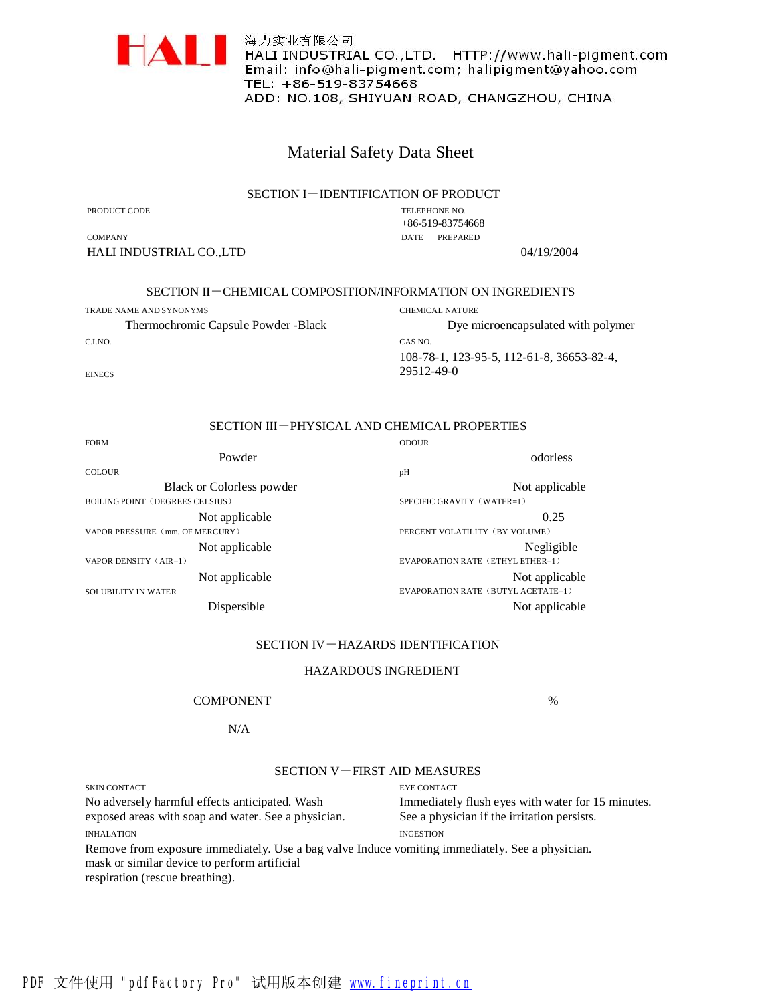

海力实业有限公司 ████████████████████<br>▐████████<br>▐█▆▖▎▏▖▆▆▒▙▖▎▎▖▆▆▆▖▖▗▗▖▖▖▖▖▖▖▖▖▖▖ Email: info@hali-pigment.com; halipigment@yahoo.com TEL: +86-519-83754668 ADD: NO.108, SHIYUAN ROAD, CHANGZHOU, CHINA

## Material Safety Data Sheet

## SECTION I-IDENTIFICATION OF PRODUCT

PRODUCT CODE

**EINECS** 

TELEPHONE NO. +86-519-83754668 DATE PREPARED

**COMPANY** HALI INDUSTRIAL CO.,LTD 04/19/2004

%

## SECTION II-CHEMICAL COMPOSITION/INFORMATION ON INGREDIENTS

TRADE NAME AND SYNONYMS CHEMICAL NATURE Thermochromic Capsule Powder -Black C.I.NO.

CAS NO. Dye microencapsulated with polymer 108-78-1, 123-95-5, 112-61-8, 36653-82-4, 29512-49-0

# SECTION III-PHYSICAL AND CHEMICAL PROPERTIES

| <b>FORM</b>                            | <b>ODOUR</b>                       |
|----------------------------------------|------------------------------------|
| Powder                                 | odorless                           |
| <b>COLOUR</b>                          | pH                                 |
| <b>Black or Colorless powder</b>       | Not applicable                     |
| <b>BOILING POINT (DEGREES CELSIUS)</b> | SPECIFIC GRAVITY (WATER=1)         |
| Not applicable                         | 0.25                               |
| VAPOR PRESSURE (mm. OF MERCURY)        | PERCENT VOLATILITY (BY VOLUME)     |
| Not applicable                         | Negligible                         |
| VAPOR DENSITY (AIR=1)                  | EVAPORATION RATE (ETHYL ETHER=1)   |
| Not applicable                         | Not applicable                     |
| <b>SOLUBILITY IN WATER</b>             | EVAPORATION RATE (BUTYL ACETATE=1) |
| Dispersible                            | Not applicable                     |

## SECTION IV-HAZARDS IDENTIFICATION

## HAZARDOUS INGREDIENT

#### COMPONENT

#### N/A

#### SECTION V-FIRST AID MEASURES

SKIN CONTACT EYE CONTACT No adversely harmful effects anticipated. Wash exposed areas with soap and water. See a physician. INHALATION Immediately flush eyes with water for 15 minutes. See a physician if the irritation persists. INGESTION Remove from exposure immediately. Use a bag valve Induce vomiting immediately. See a physician. mask or similar device to perform artificial respiration (rescue breathing).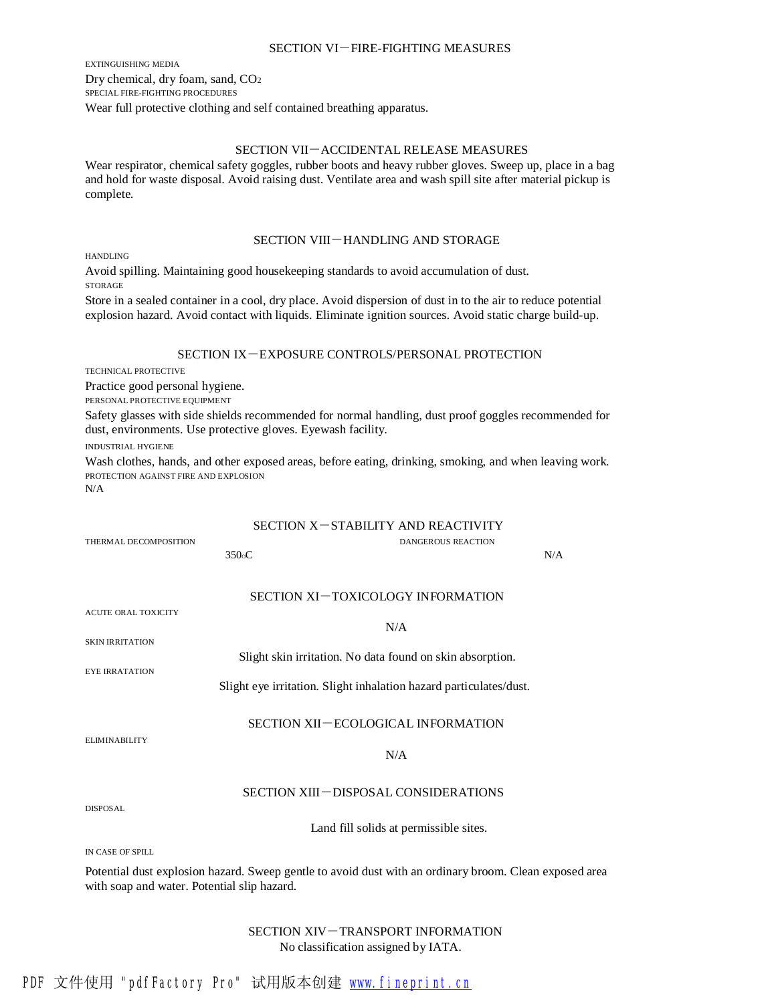#### SECTION VI-FIRE-FIGHTING MEASURES

EXTINGUISHING MEDIA Dry chemical, dry foam, sand, CO<sup>2</sup> SPECIAL FIRE-FIGHTING PROCEDURES Wear full protective clothing and self contained breathing apparatus.

## SECTION VII-ACCIDENTAL RELEASE MEASURES

Wear respirator, chemical safety goggles, rubber boots and heavy rubber gloves. Sweep up, place in a bag and hold for waste disposal. Avoid raising dust. Ventilate area and wash spill site after material pickup is complete.

## SECTION VIII-HANDLING AND STORAGE

HANDLING

Avoid spilling. Maintaining good housekeeping standards to avoid accumulation of dust. STORAGE

Store in a sealed container in a cool, dry place. Avoid dispersion of dust in to the air to reduce potential explosion hazard. Avoid contact with liquids. Eliminate ignition sources. Avoid static charge build-up.

## SECTION IX-EXPOSURE CONTROLS/PERSONAL PROTECTION

TECHNICAL PROTECTIVE

Practice good personal hygiene.

PERSONAL PROTECTIVE EQUIPMENT

Safety glasses with side shields recommended for normal handling, dust proof goggles recommended for dust, environments. Use protective gloves. Eyewash facility.

INDUSTRIAL HYGIENE

Wash clothes, hands, and other exposed areas, before eating, drinking, smoking, and when leaving work. PROTECTION AGAINST FIRE AND EXPLOSION

THERMAL DECOMPOSITION **DANGEROUS REACTION** 

N/A

## SECTION X-STABILITY AND REACTIVITY

|                                             | 350 <sub>o</sub> C                                                                                     | N/A |
|---------------------------------------------|--------------------------------------------------------------------------------------------------------|-----|
|                                             | SECTION XI-TOXICOLOGY INFORMATION                                                                      |     |
| <b>ACUTE ORAL TOXICITY</b>                  |                                                                                                        |     |
| <b>SKIN IRRITATION</b>                      | N/A                                                                                                    |     |
|                                             | Slight skin irritation. No data found on skin absorption.                                              |     |
| <b>EYE IRRATATION</b>                       | Slight eye irritation. Slight inhalation hazard particulates/dust.                                     |     |
| <b>ELIMINABILITY</b>                        | SECTION XII-ECOLOGICAL INFORMATION                                                                     |     |
|                                             | N/A                                                                                                    |     |
| <b>DISPOSAL</b>                             | SECTION XIII-DISPOSAL CONSIDERATIONS                                                                   |     |
|                                             | Land fill solids at permissible sites.                                                                 |     |
| IN CASE OF SPILL                            |                                                                                                        |     |
| with soap and water. Potential slip hazard. | Potential dust explosion hazard. Sweep gentle to avoid dust with an ordinary broom. Clean exposed area |     |
|                                             |                                                                                                        |     |

SECTION XIV-TRANSPORT INFORMATION No classification assigned by IATA.